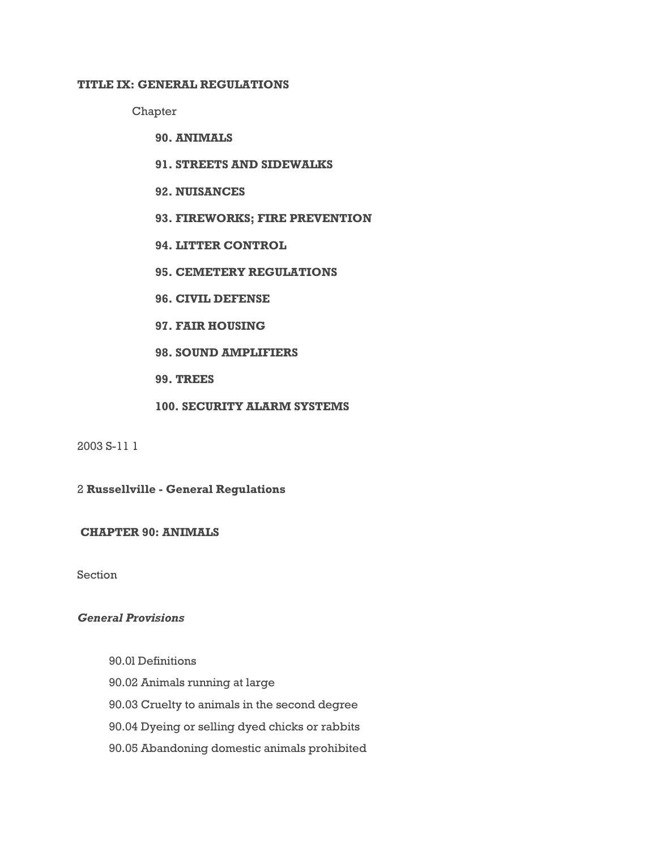## **TITLE IX: GENERAL REGULATIONS**

Chapter

- **90. ANIMALS**
- **91. STREETS AND SIDEWALKS**
- **92. NUISANCES**
- **93. FIREWORKS; FIRE PREVENTION**
- **94. LITTER CONTROL**
- **95. CEMETERY REGULATIONS**
- **96. CIVIL DEFENSE**
- **97. FAIR HOUSING**
- **98. SOUND AMPLIFIERS**
- **99. TREES**
- **100. SECURITY ALARM SYSTEMS**

2003 S-11 1

2 **Russellville - General Regulations**

**CHAPTER 90: ANIMALS**

Section

# *General Provisions*

- 90.0l Definitions
- 90.02 Animals running at large
- 90.03 Cruelty to animals in the second degree
- 90.04 Dyeing or selling dyed chicks or rabbits
- 90.05 Abandoning domestic animals prohibited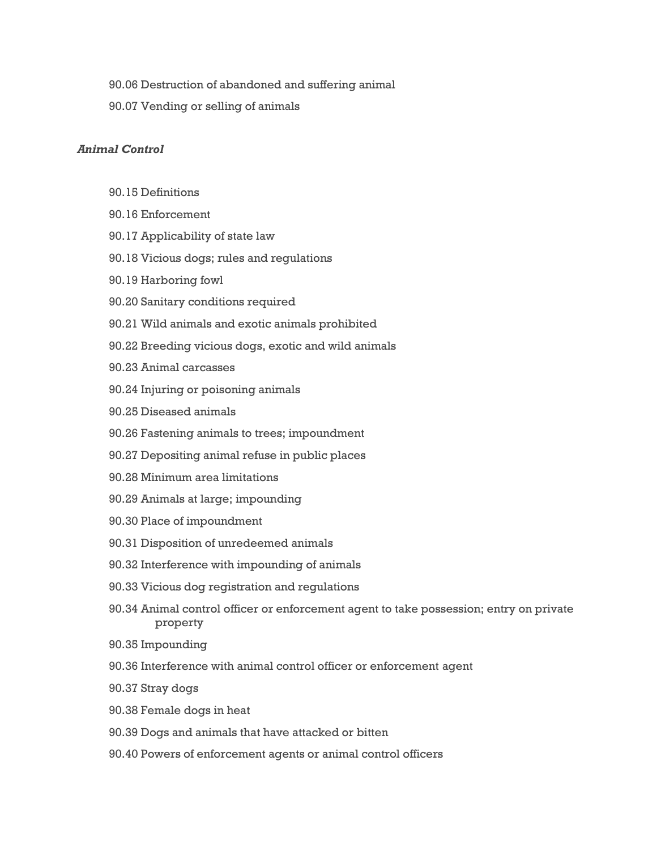- 90.06 Destruction of abandoned and suffering animal
- 90.07 Vending or selling of animals

# *Animal Control*

- 90.15 Definitions
- 90.16 Enforcement
- 90.17 Applicability of state law
- 90.18 Vicious dogs; rules and regulations
- 90.19 Harboring fowl
- 90.20 Sanitary conditions required
- 90.21 Wild animals and exotic animals prohibited
- 90.22 Breeding vicious dogs, exotic and wild animals
- 90.23 Animal carcasses
- 90.24 Injuring or poisoning animals
- 90.25 Diseased animals
- 90.26 Fastening animals to trees; impoundment
- 90.27 Depositing animal refuse in public places
- 90.28 Minimum area limitations
- 90.29 Animals at large; impounding
- 90.30 Place of impoundment
- 90.31 Disposition of unredeemed animals
- 90.32 Interference with impounding of animals
- 90.33 Vicious dog registration and regulations
- 90.34 Animal control officer or enforcement agent to take possession; entry on private property
- 90.35 Impounding
- 90.36 Interference with animal control officer or enforcement agent
- 90.37 Stray dogs
- 90.38 Female dogs in heat
- 90.39 Dogs and animals that have attacked or bitten
- 90.40 Powers of enforcement agents or animal control officers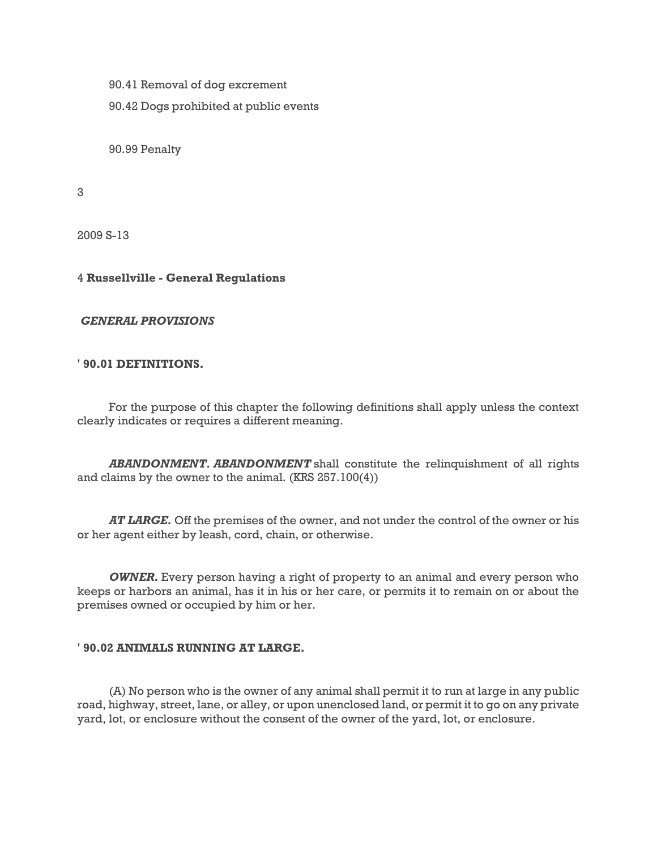90.41 Removal of dog excrement

90.42 Dogs prohibited at public events

90.99 Penalty

3

2009 S-13

## 4 **Russellville - General Regulations**

## *GENERAL PROVISIONS*

#### **' 90.01 DEFINITIONS.**

For the purpose of this chapter the following definitions shall apply unless the context clearly indicates or requires a different meaning.

*ABANDONMENT. ABANDONMENT* shall constitute the relinquishment of all rights and claims by the owner to the animal. (KRS 257.100(4))

*AT LARGE.* Off the premises of the owner, and not under the control of the owner or his or her agent either by leash, cord, chain, or otherwise.

*OWNER.* Every person having a right of property to an animal and every person who keeps or harbors an animal, has it in his or her care, or permits it to remain on or about the premises owned or occupied by him or her.

#### **' 90.02 ANIMALS RUNNING AT LARGE.**

(A) No person who is the owner of any animal shall permit it to run at large in any public road, highway, street, lane, or alley, or upon unenclosed land, or permit it to go on any private yard, lot, or enclosure without the consent of the owner of the yard, lot, or enclosure.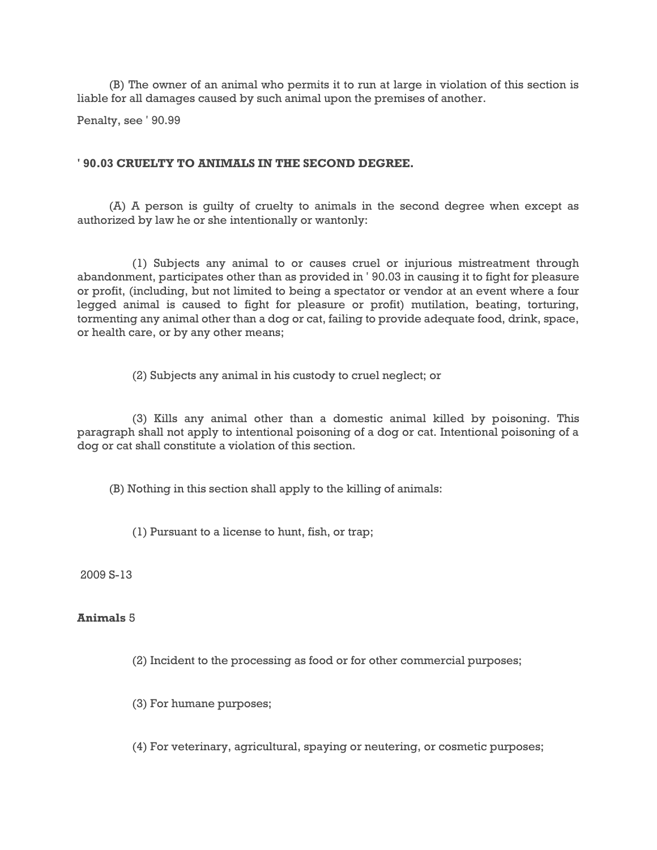(B) The owner of an animal who permits it to run at large in violation of this section is liable for all damages caused by such animal upon the premises of another.

Penalty, see ' 90.99

### **' 90.03 CRUELTY TO ANIMALS IN THE SECOND DEGREE.**

(A) A person is guilty of cruelty to animals in the second degree when except as authorized by law he or she intentionally or wantonly:

(1) Subjects any animal to or causes cruel or injurious mistreatment through abandonment, participates other than as provided in ' 90.03 in causing it to fight for pleasure or profit, (including, but not limited to being a spectator or vendor at an event where a four legged animal is caused to fight for pleasure or profit) mutilation, beating, torturing, tormenting any animal other than a dog or cat, failing to provide adequate food, drink, space, or health care, or by any other means;

(2) Subjects any animal in his custody to cruel neglect; or

(3) Kills any animal other than a domestic animal killed by poisoning. This paragraph shall not apply to intentional poisoning of a dog or cat. Intentional poisoning of a dog or cat shall constitute a violation of this section.

(B) Nothing in this section shall apply to the killing of animals:

(1) Pursuant to a license to hunt, fish, or trap;

2009 S-13

### **Animals** 5

(2) Incident to the processing as food or for other commercial purposes;

(3) For humane purposes;

(4) For veterinary, agricultural, spaying or neutering, or cosmetic purposes;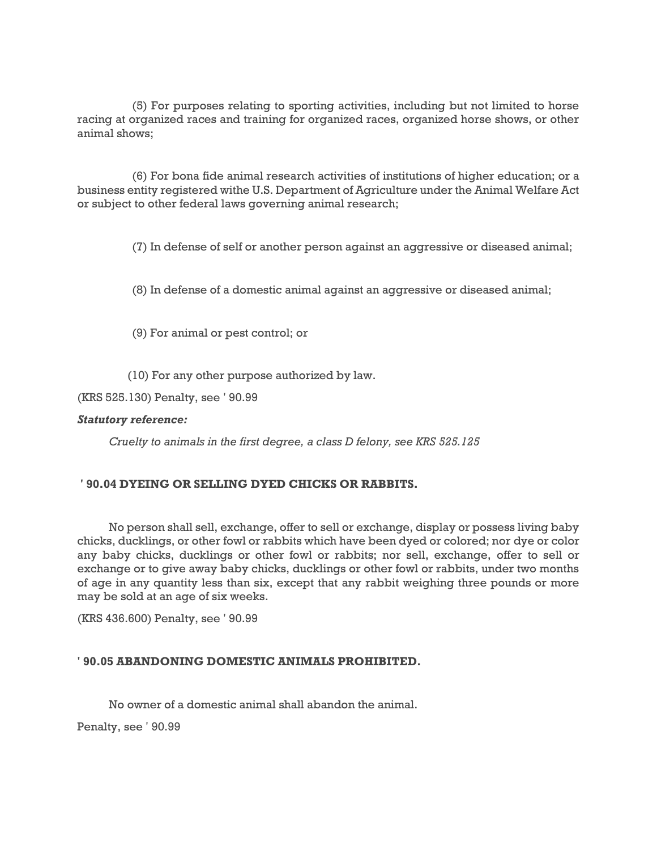(5) For purposes relating to sporting activities, including but not limited to horse racing at organized races and training for organized races, organized horse shows, or other animal shows;

(6) For bona fide animal research activities of institutions of higher education; or a business entity registered withe U.S. Department of Agriculture under the Animal Welfare Act or subject to other federal laws governing animal research;

(7) In defense of self or another person against an aggressive or diseased animal;

(8) In defense of a domestic animal against an aggressive or diseased animal;

(9) For animal or pest control; or

(10) For any other purpose authorized by law.

(KRS 525.130) Penalty, see ' 90.99

### *Statutory reference:*

*Cruelty to animals in the first degree, a class D felony, see KRS 525.125*

## **' 90.04 DYEING OR SELLING DYED CHICKS OR RABBITS.**

No person shall sell, exchange, offer to sell or exchange, display or possess living baby chicks, ducklings, or other fowl or rabbits which have been dyed or colored; nor dye or color any baby chicks, ducklings or other fowl or rabbits; nor sell, exchange, offer to sell or exchange or to give away baby chicks, ducklings or other fowl or rabbits, under two months of age in any quantity less than six, except that any rabbit weighing three pounds or more may be sold at an age of six weeks.

(KRS 436.600) Penalty, see ' 90.99

## **' 90.05 ABANDONING DOMESTIC ANIMALS PROHIBITED.**

No owner of a domestic animal shall abandon the animal.

Penalty, see ' 90.99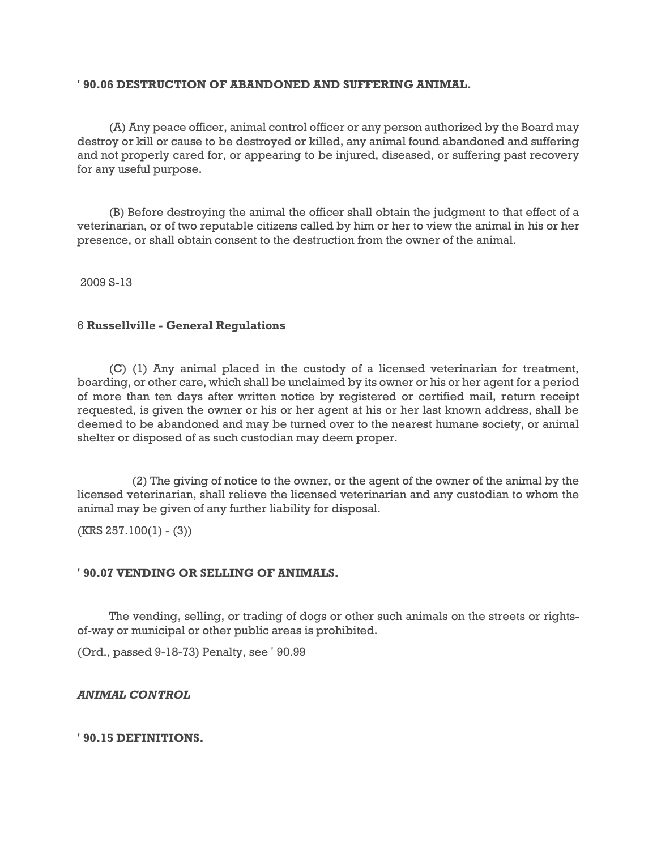### **' 90.06 DESTRUCTION OF ABANDONED AND SUFFERING ANIMAL.**

(A) Any peace officer, animal control officer or any person authorized by the Board may destroy or kill or cause to be destroyed or killed, any animal found abandoned and suffering and not properly cared for, or appearing to be injured, diseased, or suffering past recovery for any useful purpose.

(B) Before destroying the animal the officer shall obtain the judgment to that effect of a veterinarian, or of two reputable citizens called by him or her to view the animal in his or her presence, or shall obtain consent to the destruction from the owner of the animal.

2009 S-13

### 6 **Russellville - General Regulations**

(C) (1) Any animal placed in the custody of a licensed veterinarian for treatment, boarding, or other care, which shall be unclaimed by its owner or his or her agent for a period of more than ten days after written notice by registered or certified mail, return receipt requested, is given the owner or his or her agent at his or her last known address, shall be deemed to be abandoned and may be turned over to the nearest humane society, or animal shelter or disposed of as such custodian may deem proper.

(2) The giving of notice to the owner, or the agent of the owner of the animal by the licensed veterinarian, shall relieve the licensed veterinarian and any custodian to whom the animal may be given of any further liability for disposal.

 $(KRS 257.100(1) - (3))$ 

## **' 90.07 VENDING OR SELLING OF ANIMALS.**

The vending, selling, or trading of dogs or other such animals on the streets or rightsof-way or municipal or other public areas is prohibited.

(Ord., passed 9-18-73) Penalty, see ' 90.99

## *ANIMAL CONTROL*

## **' 90.15 DEFINITIONS.**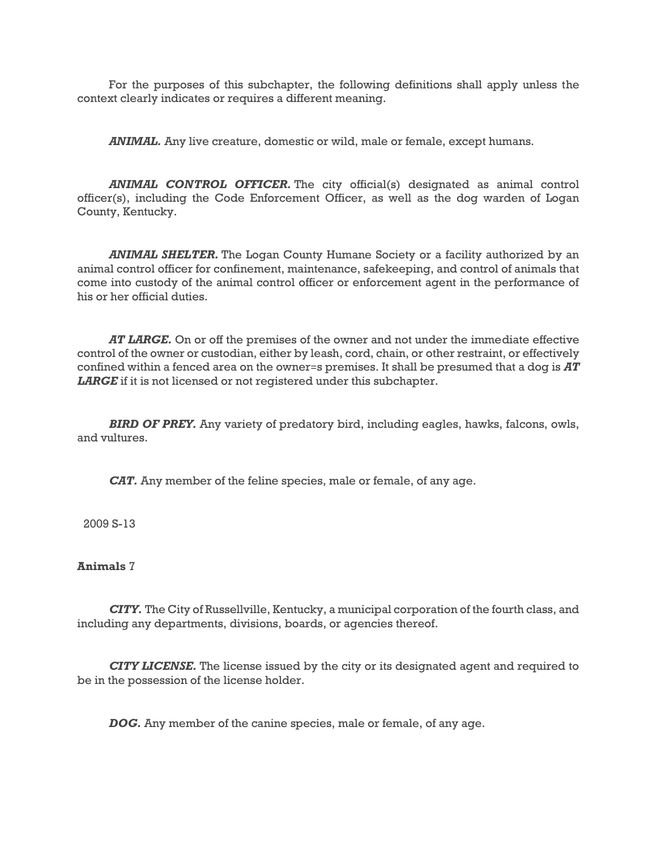For the purposes of this subchapter, the following definitions shall apply unless the context clearly indicates or requires a different meaning.

*ANIMAL.* Any live creature, domestic or wild, male or female, except humans.

*ANIMAL CONTROL OFFICER.* The city official(s) designated as animal control officer(s), including the Code Enforcement Officer, as well as the dog warden of Logan County, Kentucky.

*ANIMAL SHELTER.* The Logan County Humane Society or a facility authorized by an animal control officer for confinement, maintenance, safekeeping, and control of animals that come into custody of the animal control officer or enforcement agent in the performance of his or her official duties.

*AT LARGE.* On or off the premises of the owner and not under the immediate effective control of the owner or custodian, either by leash, cord, chain, or other restraint, or effectively confined within a fenced area on the owner=s premises. It shall be presumed that a dog is *AT*  LARGE<sup>if</sup> it is not licensed or not registered under this subchapter.

*BIRD OF PREY.* Any variety of predatory bird, including eagles, hawks, falcons, owls, and vultures.

*CAT.* Any member of the feline species, male or female, of any age.

2009 S-13

## **Animals** 7

*CITY.* The City of Russellville, Kentucky, a municipal corporation of the fourth class, and including any departments, divisions, boards, or agencies thereof.

*CITY LICENSE.* The license issued by the city or its designated agent and required to be in the possession of the license holder.

*DOG.* Any member of the canine species, male or female, of any age.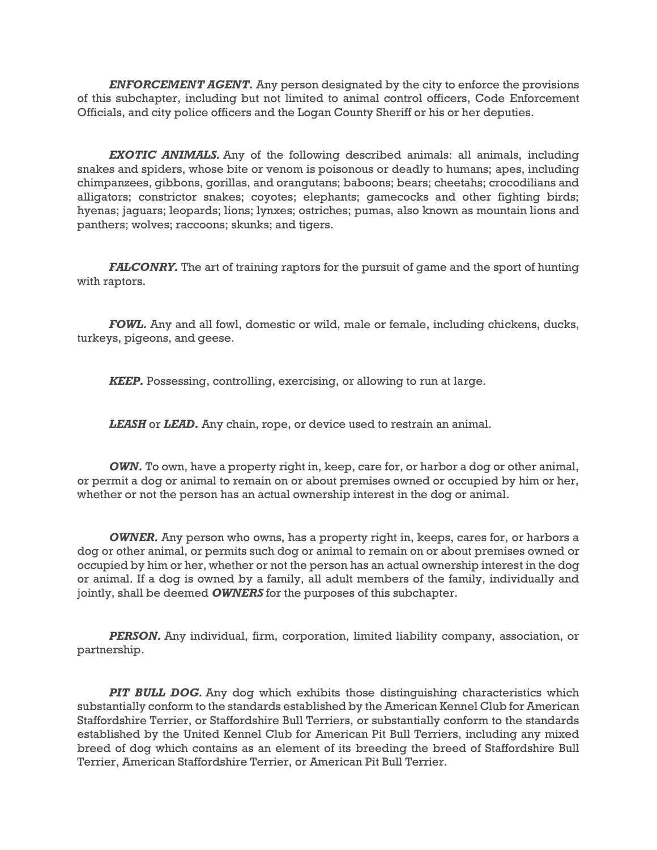*ENFORCEMENT AGENT.* Any person designated by the city to enforce the provisions of this subchapter, including but not limited to animal control officers, Code Enforcement Officials, and city police officers and the Logan County Sheriff or his or her deputies.

*EXOTIC ANIMALS.* Any of the following described animals: all animals, including snakes and spiders, whose bite or venom is poisonous or deadly to humans; apes, including chimpanzees, gibbons, gorillas, and orangutans; baboons; bears; cheetahs; crocodilians and alligators; constrictor snakes; coyotes; elephants; gamecocks and other fighting birds; hyenas; jaguars; leopards; lions; lynxes; ostriches; pumas, also known as mountain lions and panthers; wolves; raccoons; skunks; and tigers.

*FALCONRY*. The art of training raptors for the pursuit of game and the sport of hunting with raptors.

*FOWL.* Any and all fowl, domestic or wild, male or female, including chickens, ducks, turkeys, pigeons, and geese.

*KEEP.* Possessing, controlling, exercising, or allowing to run at large.

*LEASH* or *LEAD.* Any chain, rope, or device used to restrain an animal.

*OWN.* To own, have a property right in, keep, care for, or harbor a dog or other animal, or permit a dog or animal to remain on or about premises owned or occupied by him or her, whether or not the person has an actual ownership interest in the dog or animal.

*OWNER.* Any person who owns, has a property right in, keeps, cares for, or harbors a dog or other animal, or permits such dog or animal to remain on or about premises owned or occupied by him or her, whether or not the person has an actual ownership interest in the dog or animal. If a dog is owned by a family, all adult members of the family, individually and jointly, shall be deemed *OWNERS* for the purposes of this subchapter.

*PERSON.* Any individual, firm, corporation, limited liability company, association, or partnership.

*PIT BULL DOG.* Any dog which exhibits those distinguishing characteristics which substantially conform to the standards established by the American Kennel Club for American Staffordshire Terrier, or Staffordshire Bull Terriers, or substantially conform to the standards established by the United Kennel Club for American Pit Bull Terriers, including any mixed breed of dog which contains as an element of its breeding the breed of Staffordshire Bull Terrier, American Staffordshire Terrier, or American Pit Bull Terrier.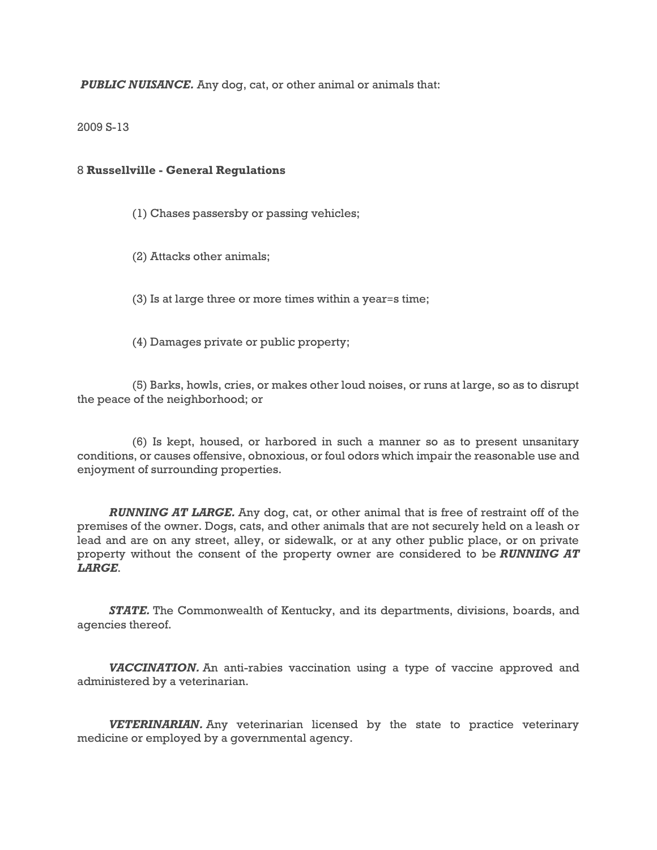*PUBLIC NUISANCE.* Any dog, cat, or other animal or animals that:

### 2009 S-13

### 8 **Russellville - General Regulations**

- (1) Chases passersby or passing vehicles;
- (2) Attacks other animals;
- (3) Is at large three or more times within a year=s time;
- (4) Damages private or public property;

(5) Barks, howls, cries, or makes other loud noises, or runs at large, so as to disrupt the peace of the neighborhood; or

(6) Is kept, housed, or harbored in such a manner so as to present unsanitary conditions, or causes offensive, obnoxious, or foul odors which impair the reasonable use and enjoyment of surrounding properties.

*RUNNING AT LARGE.* Any dog, cat, or other animal that is free of restraint off of the premises of the owner. Dogs, cats, and other animals that are not securely held on a leash or lead and are on any street, alley, or sidewalk, or at any other public place, or on private property without the consent of the property owner are considered to be *RUNNING AT LARGE*.

*STATE.* The Commonwealth of Kentucky, and its departments, divisions, boards, and agencies thereof.

*VACCINATION.* An anti-rabies vaccination using a type of vaccine approved and administered by a veterinarian.

*VETERINARIAN.* Any veterinarian licensed by the state to practice veterinary medicine or employed by a governmental agency.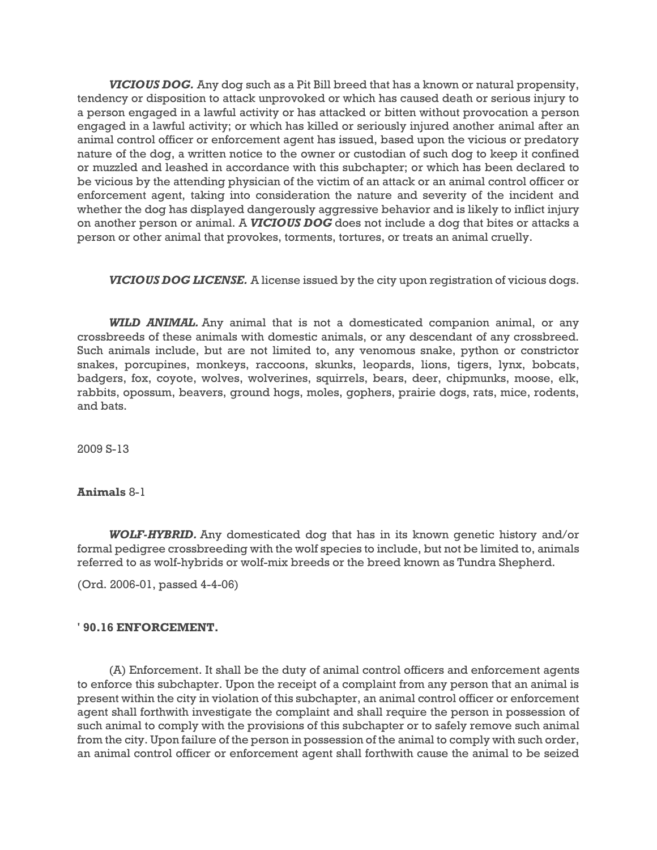*VICIOUS DOG.* Any dog such as a Pit Bill breed that has a known or natural propensity, tendency or disposition to attack unprovoked or which has caused death or serious injury to a person engaged in a lawful activity or has attacked or bitten without provocation a person engaged in a lawful activity; or which has killed or seriously injured another animal after an animal control officer or enforcement agent has issued, based upon the vicious or predatory nature of the dog, a written notice to the owner or custodian of such dog to keep it confined or muzzled and leashed in accordance with this subchapter; or which has been declared to be vicious by the attending physician of the victim of an attack or an animal control officer or enforcement agent, taking into consideration the nature and severity of the incident and whether the dog has displayed dangerously aggressive behavior and is likely to inflict injury on another person or animal. A *VICIOUS DOG* does not include a dog that bites or attacks a person or other animal that provokes, torments, tortures, or treats an animal cruelly.

*VICIOUS DOG LICENSE.* A license issued by the city upon registration of vicious dogs.

*WILD ANIMAL.* Any animal that is not a domesticated companion animal, or any crossbreeds of these animals with domestic animals, or any descendant of any crossbreed. Such animals include, but are not limited to, any venomous snake, python or constrictor snakes, porcupines, monkeys, raccoons, skunks, leopards, lions, tigers, lynx, bobcats, badgers, fox, coyote, wolves, wolverines, squirrels, bears, deer, chipmunks, moose, elk, rabbits, opossum, beavers, ground hogs, moles, gophers, prairie dogs, rats, mice, rodents, and bats.

2009 S-13

## **Animals** 8-1

*WOLF-HYBRID.* Any domesticated dog that has in its known genetic history and/or formal pedigree crossbreeding with the wolf species to include, but not be limited to, animals referred to as wolf-hybrids or wolf-mix breeds or the breed known as Tundra Shepherd.

(Ord. 2006-01, passed 4-4-06)

# **' 90.16 ENFORCEMENT.**

(A) Enforcement. It shall be the duty of animal control officers and enforcement agents to enforce this subchapter. Upon the receipt of a complaint from any person that an animal is present within the city in violation of this subchapter, an animal control officer or enforcement agent shall forthwith investigate the complaint and shall require the person in possession of such animal to comply with the provisions of this subchapter or to safely remove such animal from the city. Upon failure of the person in possession of the animal to comply with such order, an animal control officer or enforcement agent shall forthwith cause the animal to be seized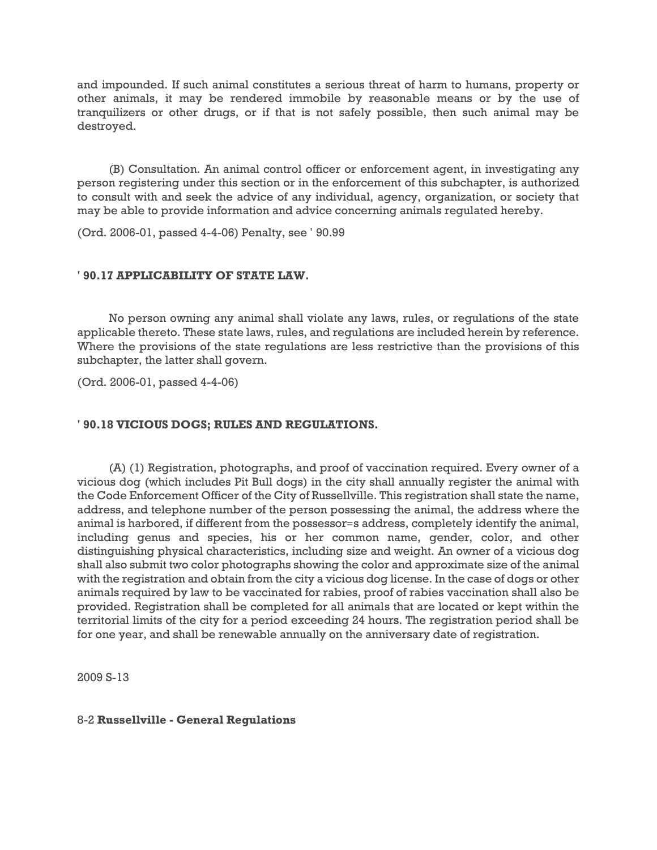and impounded. If such animal constitutes a serious threat of harm to humans, property or other animals, it may be rendered immobile by reasonable means or by the use of tranquilizers or other drugs, or if that is not safely possible, then such animal may be destroyed.

(B) Consultation. An animal control officer or enforcement agent, in investigating any person registering under this section or in the enforcement of this subchapter, is authorized to consult with and seek the advice of any individual, agency, organization, or society that may be able to provide information and advice concerning animals regulated hereby.

(Ord. 2006-01, passed 4-4-06) Penalty, see ' 90.99

### **' 90.17 APPLICABILITY OF STATE LAW.**

No person owning any animal shall violate any laws, rules, or regulations of the state applicable thereto. These state laws, rules, and regulations are included herein by reference. Where the provisions of the state regulations are less restrictive than the provisions of this subchapter, the latter shall govern.

(Ord. 2006-01, passed 4-4-06)

## **' 90.18 VICIOUS DOGS; RULES AND REGULATIONS.**

(A) (1) Registration, photographs, and proof of vaccination required. Every owner of a vicious dog (which includes Pit Bull dogs) in the city shall annually register the animal with the Code Enforcement Officer of the City of Russellville. This registration shall state the name, address, and telephone number of the person possessing the animal, the address where the animal is harbored, if different from the possessor=s address, completely identify the animal, including genus and species, his or her common name, gender, color, and other distinguishing physical characteristics, including size and weight. An owner of a vicious dog shall also submit two color photographs showing the color and approximate size of the animal with the registration and obtain from the city a vicious dog license. In the case of dogs or other animals required by law to be vaccinated for rabies, proof of rabies vaccination shall also be provided. Registration shall be completed for all animals that are located or kept within the territorial limits of the city for a period exceeding 24 hours. The registration period shall be for one year, and shall be renewable annually on the anniversary date of registration.

2009 S-13

## 8-2 **Russellville - General Regulations**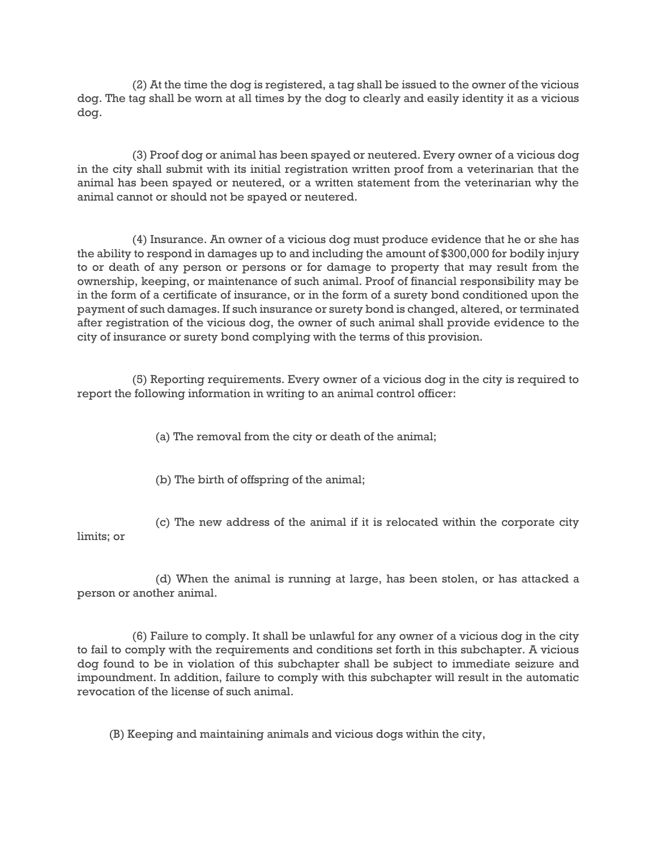(2) At the time the dog is registered, a tag shall be issued to the owner of the vicious dog. The tag shall be worn at all times by the dog to clearly and easily identity it as a vicious dog.

(3) Proof dog or animal has been spayed or neutered. Every owner of a vicious dog in the city shall submit with its initial registration written proof from a veterinarian that the animal has been spayed or neutered, or a written statement from the veterinarian why the animal cannot or should not be spayed or neutered.

(4) Insurance. An owner of a vicious dog must produce evidence that he or she has the ability to respond in damages up to and including the amount of \$300,000 for bodily injury to or death of any person or persons or for damage to property that may result from the ownership, keeping, or maintenance of such animal. Proof of financial responsibility may be in the form of a certificate of insurance, or in the form of a surety bond conditioned upon the payment of such damages. If such insurance or surety bond is changed, altered, or terminated after registration of the vicious dog, the owner of such animal shall provide evidence to the city of insurance or surety bond complying with the terms of this provision.

(5) Reporting requirements. Every owner of a vicious dog in the city is required to report the following information in writing to an animal control officer:

(a) The removal from the city or death of the animal;

(b) The birth of offspring of the animal;

(c) The new address of the animal if it is relocated within the corporate city limits; or

(d) When the animal is running at large, has been stolen, or has attacked a person or another animal.

(6) Failure to comply. It shall be unlawful for any owner of a vicious dog in the city to fail to comply with the requirements and conditions set forth in this subchapter. A vicious dog found to be in violation of this subchapter shall be subject to immediate seizure and impoundment. In addition, failure to comply with this subchapter will result in the automatic revocation of the license of such animal.

(B) Keeping and maintaining animals and vicious dogs within the city,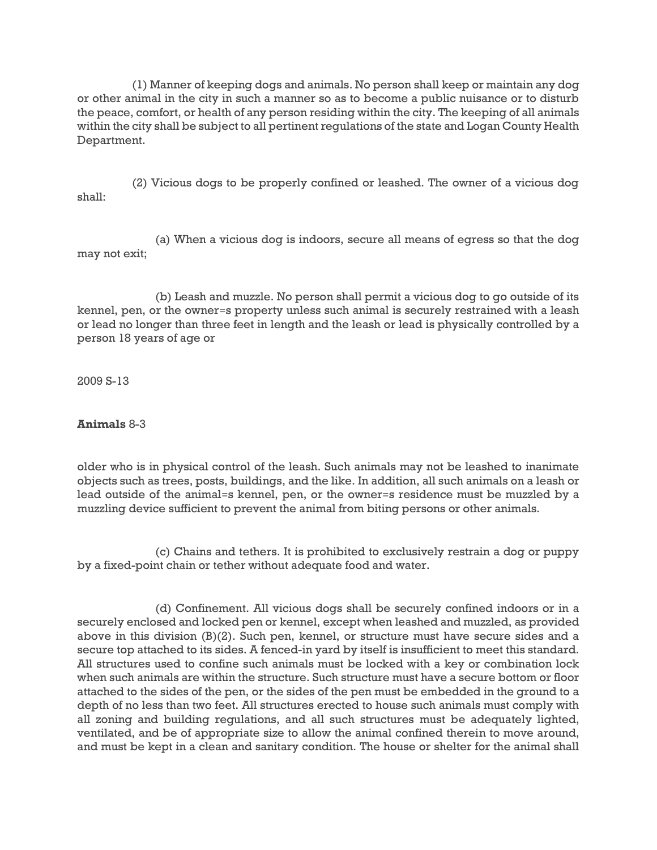(1) Manner of keeping dogs and animals. No person shall keep or maintain any dog or other animal in the city in such a manner so as to become a public nuisance or to disturb the peace, comfort, or health of any person residing within the city. The keeping of all animals within the city shall be subject to all pertinent regulations of the state and Logan County Health Department.

(2) Vicious dogs to be properly confined or leashed. The owner of a vicious dog shall:

(a) When a vicious dog is indoors, secure all means of egress so that the dog may not exit;

(b) Leash and muzzle. No person shall permit a vicious dog to go outside of its kennel, pen, or the owner=s property unless such animal is securely restrained with a leash or lead no longer than three feet in length and the leash or lead is physically controlled by a person 18 years of age or

2009 S-13

**Animals** 8-3

older who is in physical control of the leash. Such animals may not be leashed to inanimate objects such as trees, posts, buildings, and the like. In addition, all such animals on a leash or lead outside of the animal=s kennel, pen, or the owner=s residence must be muzzled by a muzzling device sufficient to prevent the animal from biting persons or other animals.

(c) Chains and tethers. It is prohibited to exclusively restrain a dog or puppy by a fixed-point chain or tether without adequate food and water.

(d) Confinement. All vicious dogs shall be securely confined indoors or in a securely enclosed and locked pen or kennel, except when leashed and muzzled, as provided above in this division (B)(2). Such pen, kennel, or structure must have secure sides and a secure top attached to its sides. A fenced-in yard by itself is insufficient to meet this standard. All structures used to confine such animals must be locked with a key or combination lock when such animals are within the structure. Such structure must have a secure bottom or floor attached to the sides of the pen, or the sides of the pen must be embedded in the ground to a depth of no less than two feet. All structures erected to house such animals must comply with all zoning and building regulations, and all such structures must be adequately lighted, ventilated, and be of appropriate size to allow the animal confined therein to move around, and must be kept in a clean and sanitary condition. The house or shelter for the animal shall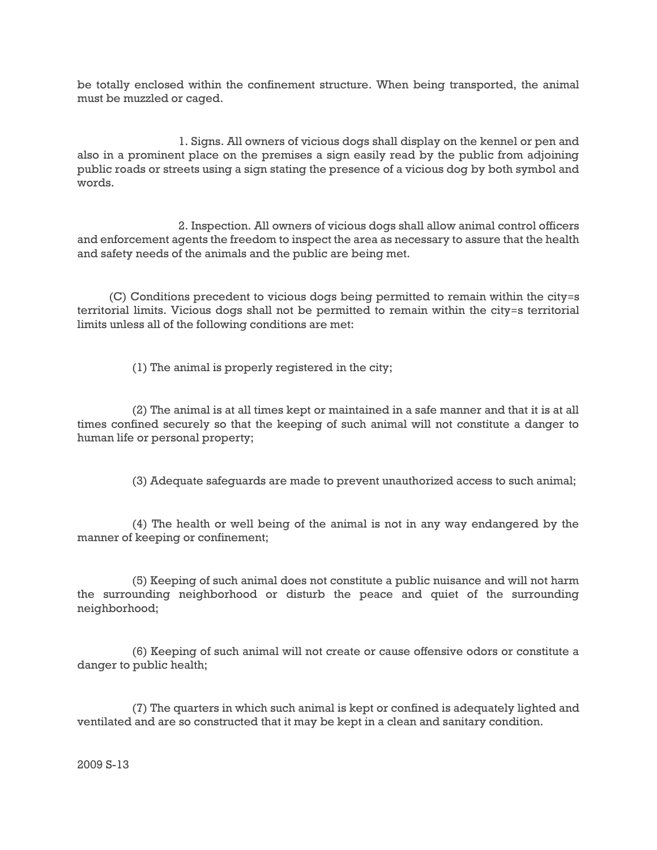be totally enclosed within the confinement structure. When being transported, the animal must be muzzled or caged.

1. Signs. All owners of vicious dogs shall display on the kennel or pen and also in a prominent place on the premises a sign easily read by the public from adjoining public roads or streets using a sign stating the presence of a vicious dog by both symbol and words.

2. Inspection. All owners of vicious dogs shall allow animal control officers and enforcement agents the freedom to inspect the area as necessary to assure that the health and safety needs of the animals and the public are being met.

(C) Conditions precedent to vicious dogs being permitted to remain within the city=s territorial limits. Vicious dogs shall not be permitted to remain within the city=s territorial limits unless all of the following conditions are met:

(1) The animal is properly registered in the city;

(2) The animal is at all times kept or maintained in a safe manner and that it is at all times confined securely so that the keeping of such animal will not constitute a danger to human life or personal property;

(3) Adequate safeguards are made to prevent unauthorized access to such animal;

(4) The health or well being of the animal is not in any way endangered by the manner of keeping or confinement;

(5) Keeping of such animal does not constitute a public nuisance and will not harm the surrounding neighborhood or disturb the peace and quiet of the surrounding neighborhood;

(6) Keeping of such animal will not create or cause offensive odors or constitute a danger to public health;

(7) The quarters in which such animal is kept or confined is adequately lighted and ventilated and are so constructed that it may be kept in a clean and sanitary condition.

2009 S-13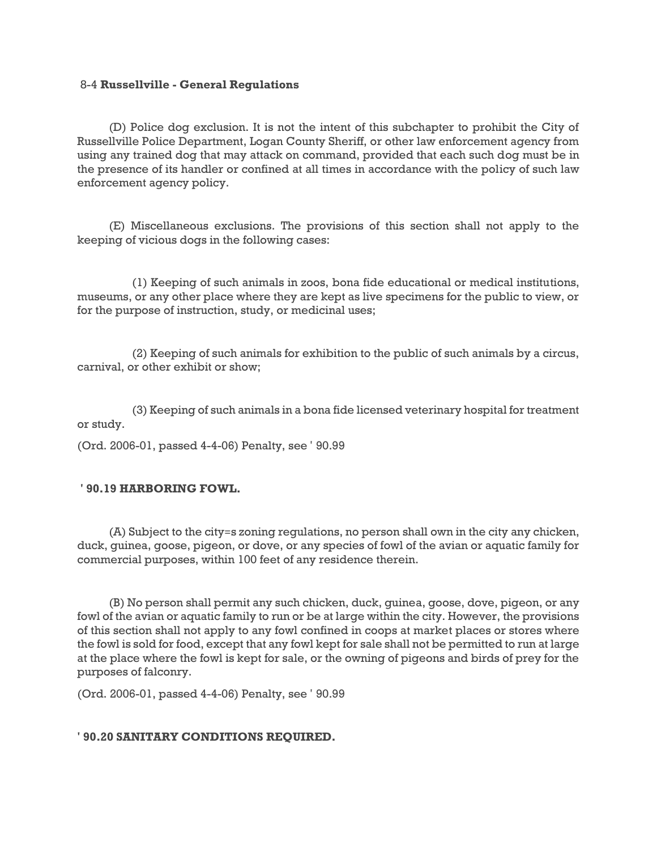### 8-4 **Russellville - General Regulations**

(D) Police dog exclusion. It is not the intent of this subchapter to prohibit the City of Russellville Police Department, Logan County Sheriff, or other law enforcement agency from using any trained dog that may attack on command, provided that each such dog must be in the presence of its handler or confined at all times in accordance with the policy of such law enforcement agency policy.

(E) Miscellaneous exclusions. The provisions of this section shall not apply to the keeping of vicious dogs in the following cases:

(1) Keeping of such animals in zoos, bona fide educational or medical institutions, museums, or any other place where they are kept as live specimens for the public to view, or for the purpose of instruction, study, or medicinal uses;

(2) Keeping of such animals for exhibition to the public of such animals by a circus, carnival, or other exhibit or show;

(3) Keeping of such animals in a bona fide licensed veterinary hospital for treatment or study.

(Ord. 2006-01, passed 4-4-06) Penalty, see ' 90.99

## **' 90.19 HARBORING FOWL.**

(A) Subject to the city=s zoning regulations, no person shall own in the city any chicken, duck, guinea, goose, pigeon, or dove, or any species of fowl of the avian or aquatic family for commercial purposes, within 100 feet of any residence therein.

(B) No person shall permit any such chicken, duck, guinea, goose, dove, pigeon, or any fowl of the avian or aquatic family to run or be at large within the city. However, the provisions of this section shall not apply to any fowl confined in coops at market places or stores where the fowl is sold for food, except that any fowl kept for sale shall not be permitted to run at large at the place where the fowl is kept for sale, or the owning of pigeons and birds of prey for the purposes of falconry.

(Ord. 2006-01, passed 4-4-06) Penalty, see ' 90.99

## **' 90.20 SANITARY CONDITIONS REQUIRED.**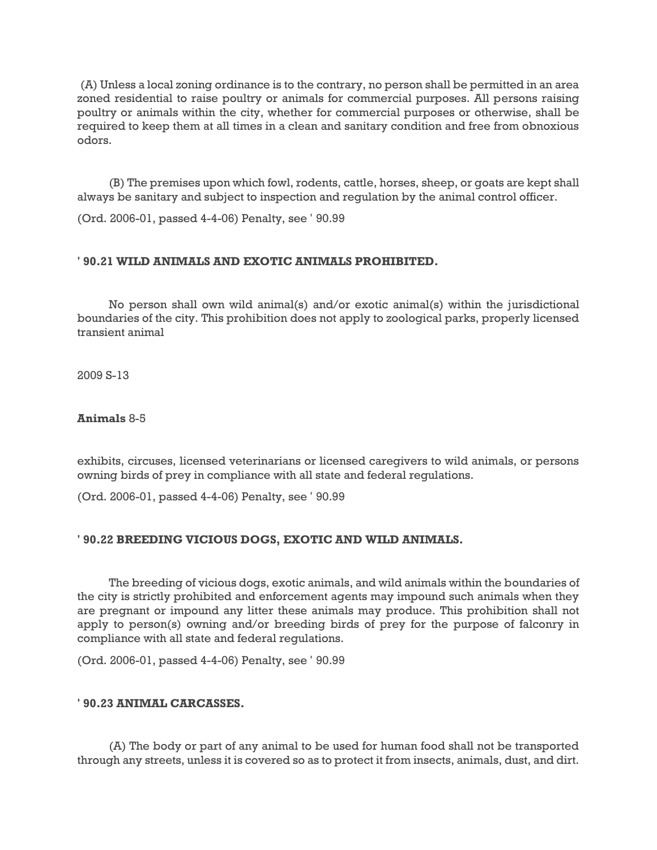(A) Unless a local zoning ordinance is to the contrary, no person shall be permitted in an area zoned residential to raise poultry or animals for commercial purposes. All persons raising poultry or animals within the city, whether for commercial purposes or otherwise, shall be required to keep them at all times in a clean and sanitary condition and free from obnoxious odors.

(B) The premises upon which fowl, rodents, cattle, horses, sheep, or goats are kept shall always be sanitary and subject to inspection and regulation by the animal control officer.

(Ord. 2006-01, passed 4-4-06) Penalty, see ' 90.99

## **' 90.21 WILD ANIMALS AND EXOTIC ANIMALS PROHIBITED.**

No person shall own wild animal(s) and/or exotic animal(s) within the jurisdictional boundaries of the city. This prohibition does not apply to zoological parks, properly licensed transient animal

2009 S-13

## **Animals** 8-5

exhibits, circuses, licensed veterinarians or licensed caregivers to wild animals, or persons owning birds of prey in compliance with all state and federal regulations.

(Ord. 2006-01, passed 4-4-06) Penalty, see ' 90.99

## **' 90.22 BREEDING VICIOUS DOGS, EXOTIC AND WILD ANIMALS.**

The breeding of vicious dogs, exotic animals, and wild animals within the boundaries of the city is strictly prohibited and enforcement agents may impound such animals when they are pregnant or impound any litter these animals may produce. This prohibition shall not apply to person(s) owning and/or breeding birds of prey for the purpose of falconry in compliance with all state and federal regulations.

(Ord. 2006-01, passed 4-4-06) Penalty, see ' 90.99

### **' 90.23 ANIMAL CARCASSES.**

(A) The body or part of any animal to be used for human food shall not be transported through any streets, unless it is covered so as to protect it from insects, animals, dust, and dirt.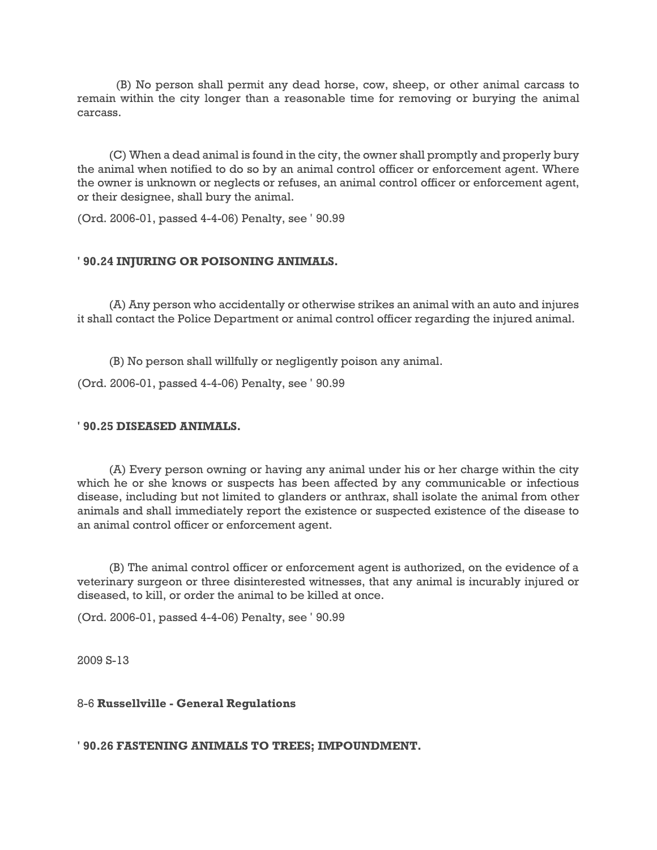(B) No person shall permit any dead horse, cow, sheep, or other animal carcass to remain within the city longer than a reasonable time for removing or burying the animal carcass.

(C) When a dead animal is found in the city, the owner shall promptly and properly bury the animal when notified to do so by an animal control officer or enforcement agent. Where the owner is unknown or neglects or refuses, an animal control officer or enforcement agent, or their designee, shall bury the animal.

(Ord. 2006-01, passed 4-4-06) Penalty, see ' 90.99

### **' 90.24 INJURING OR POISONING ANIMALS.**

(A) Any person who accidentally or otherwise strikes an animal with an auto and injures it shall contact the Police Department or animal control officer regarding the injured animal.

(B) No person shall willfully or negligently poison any animal.

(Ord. 2006-01, passed 4-4-06) Penalty, see ' 90.99

#### **' 90.25 DISEASED ANIMALS.**

(A) Every person owning or having any animal under his or her charge within the city which he or she knows or suspects has been affected by any communicable or infectious disease, including but not limited to glanders or anthrax, shall isolate the animal from other animals and shall immediately report the existence or suspected existence of the disease to an animal control officer or enforcement agent.

(B) The animal control officer or enforcement agent is authorized, on the evidence of a veterinary surgeon or three disinterested witnesses, that any animal is incurably injured or diseased, to kill, or order the animal to be killed at once.

(Ord. 2006-01, passed 4-4-06) Penalty, see ' 90.99

2009 S-13

#### 8-6 **Russellville - General Regulations**

**' 90.26 FASTENING ANIMALS TO TREES; IMPOUNDMENT.**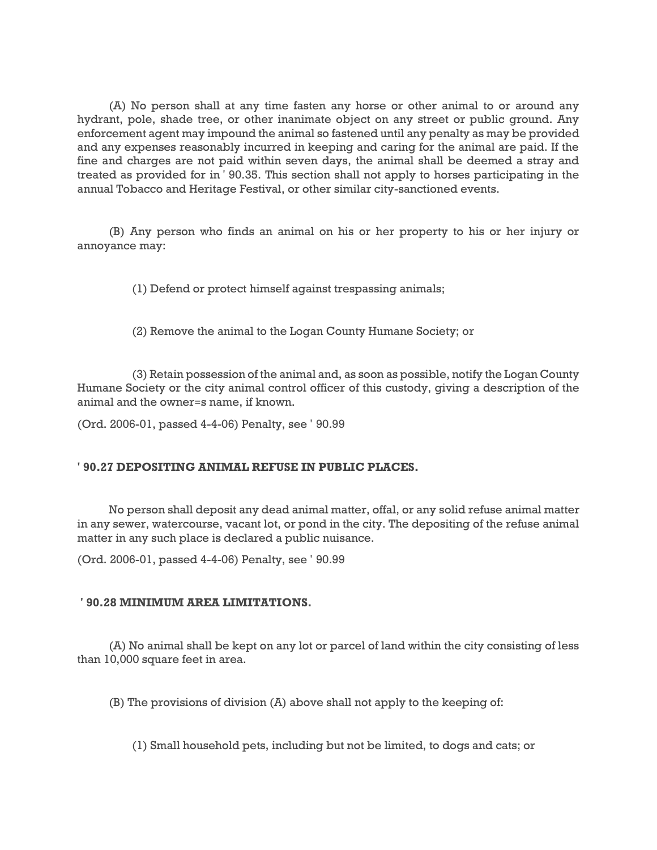(A) No person shall at any time fasten any horse or other animal to or around any hydrant, pole, shade tree, or other inanimate object on any street or public ground. Any enforcement agent may impound the animal so fastened until any penalty as may be provided and any expenses reasonably incurred in keeping and caring for the animal are paid. If the fine and charges are not paid within seven days, the animal shall be deemed a stray and treated as provided for in ' 90.35. This section shall not apply to horses participating in the annual Tobacco and Heritage Festival, or other similar city-sanctioned events.

(B) Any person who finds an animal on his or her property to his or her injury or annoyance may:

(1) Defend or protect himself against trespassing animals;

(2) Remove the animal to the Logan County Humane Society; or

(3) Retain possession of the animal and, as soon as possible, notify the Logan County Humane Society or the city animal control officer of this custody, giving a description of the animal and the owner=s name, if known.

(Ord. 2006-01, passed 4-4-06) Penalty, see ' 90.99

## **' 90.27 DEPOSITING ANIMAL REFUSE IN PUBLIC PLACES.**

No person shall deposit any dead animal matter, offal, or any solid refuse animal matter in any sewer, watercourse, vacant lot, or pond in the city. The depositing of the refuse animal matter in any such place is declared a public nuisance.

(Ord. 2006-01, passed 4-4-06) Penalty, see ' 90.99

## **' 90.28 MINIMUM AREA LIMITATIONS.**

(A) No animal shall be kept on any lot or parcel of land within the city consisting of less than 10,000 square feet in area.

(B) The provisions of division (A) above shall not apply to the keeping of:

(1) Small household pets, including but not be limited, to dogs and cats; or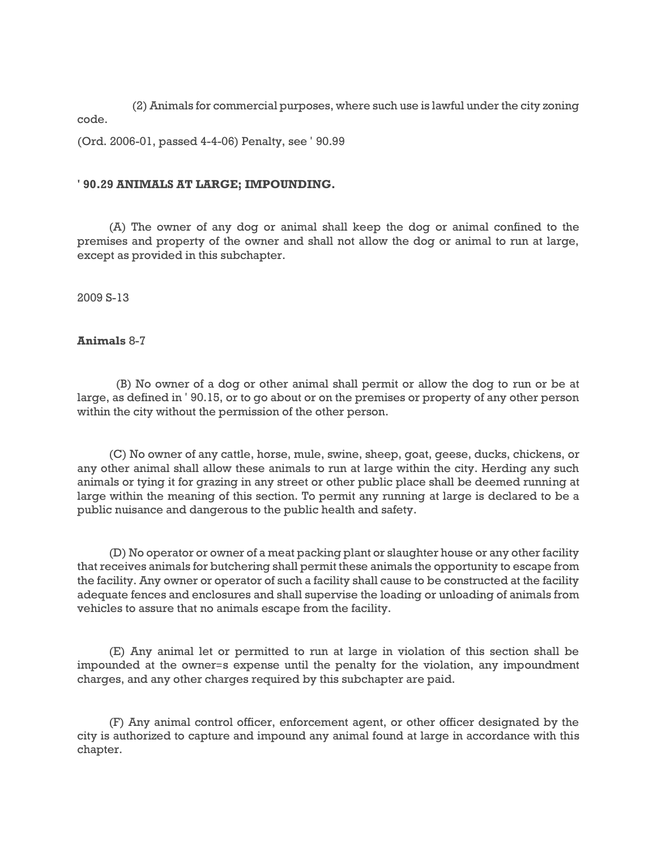(2) Animals for commercial purposes, where such use is lawful under the city zoning code.

(Ord. 2006-01, passed 4-4-06) Penalty, see ' 90.99

### **' 90.29 ANIMALS AT LARGE; IMPOUNDING.**

(A) The owner of any dog or animal shall keep the dog or animal confined to the premises and property of the owner and shall not allow the dog or animal to run at large, except as provided in this subchapter.

2009 S-13

### **Animals** 8-7

(B) No owner of a dog or other animal shall permit or allow the dog to run or be at large, as defined in ' 90.15, or to go about or on the premises or property of any other person within the city without the permission of the other person.

(C) No owner of any cattle, horse, mule, swine, sheep, goat, geese, ducks, chickens, or any other animal shall allow these animals to run at large within the city. Herding any such animals or tying it for grazing in any street or other public place shall be deemed running at large within the meaning of this section. To permit any running at large is declared to be a public nuisance and dangerous to the public health and safety.

(D) No operator or owner of a meat packing plant or slaughter house or any other facility that receives animals for butchering shall permit these animals the opportunity to escape from the facility. Any owner or operator of such a facility shall cause to be constructed at the facility adequate fences and enclosures and shall supervise the loading or unloading of animals from vehicles to assure that no animals escape from the facility.

(E) Any animal let or permitted to run at large in violation of this section shall be impounded at the owner=s expense until the penalty for the violation, any impoundment charges, and any other charges required by this subchapter are paid.

(F) Any animal control officer, enforcement agent, or other officer designated by the city is authorized to capture and impound any animal found at large in accordance with this chapter.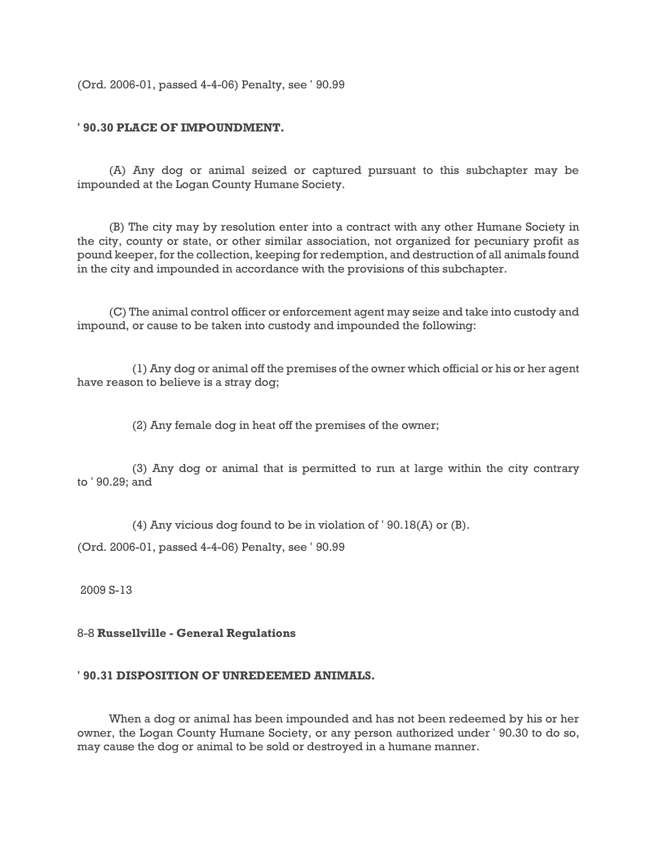(Ord. 2006-01, passed 4-4-06) Penalty, see ' 90.99

## **' 90.30 PLACE OF IMPOUNDMENT.**

(A) Any dog or animal seized or captured pursuant to this subchapter may be impounded at the Logan County Humane Society.

(B) The city may by resolution enter into a contract with any other Humane Society in the city, county or state, or other similar association, not organized for pecuniary profit as pound keeper, for the collection, keeping for redemption, and destruction of all animals found in the city and impounded in accordance with the provisions of this subchapter.

(C) The animal control officer or enforcement agent may seize and take into custody and impound, or cause to be taken into custody and impounded the following:

(1) Any dog or animal off the premises of the owner which official or his or her agent have reason to believe is a stray dog;

(2) Any female dog in heat off the premises of the owner;

(3) Any dog or animal that is permitted to run at large within the city contrary to ' 90.29; and

(4) Any vicious dog found to be in violation of ' 90.18(A) or (B).

(Ord. 2006-01, passed 4-4-06) Penalty, see ' 90.99

2009 S-13

# 8-8 **Russellville - General Regulations**

#### **' 90.31 DISPOSITION OF UNREDEEMED ANIMALS.**

When a dog or animal has been impounded and has not been redeemed by his or her owner, the Logan County Humane Society, or any person authorized under ' 90.30 to do so, may cause the dog or animal to be sold or destroyed in a humane manner.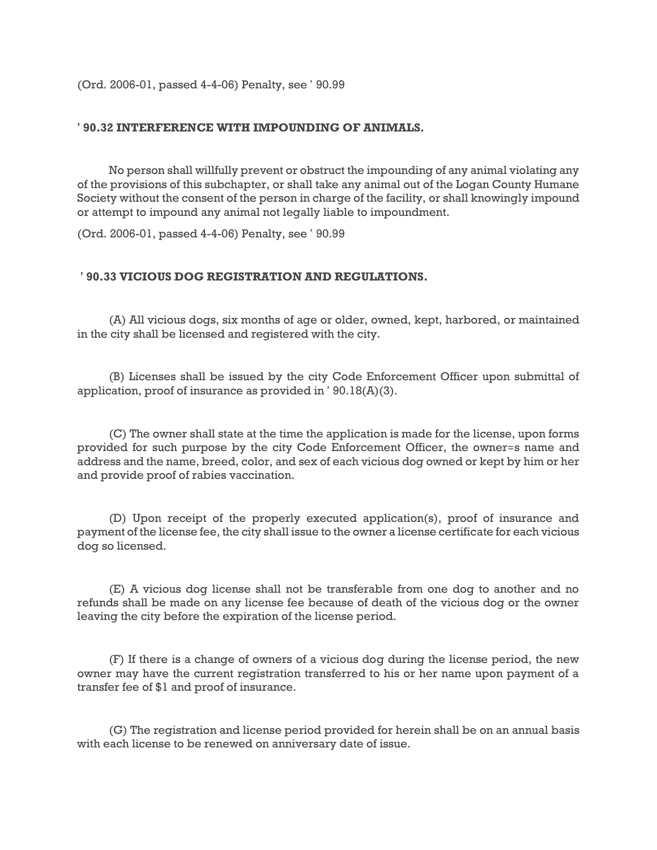(Ord. 2006-01, passed 4-4-06) Penalty, see ' 90.99

### **' 90.32 INTERFERENCE WITH IMPOUNDING OF ANIMALS.**

No person shall willfully prevent or obstruct the impounding of any animal violating any of the provisions of this subchapter, or shall take any animal out of the Logan County Humane Society without the consent of the person in charge of the facility, or shall knowingly impound or attempt to impound any animal not legally liable to impoundment.

(Ord. 2006-01, passed 4-4-06) Penalty, see ' 90.99

### **' 90.33 VICIOUS DOG REGISTRATION AND REGULATIONS.**

(A) All vicious dogs, six months of age or older, owned, kept, harbored, or maintained in the city shall be licensed and registered with the city.

(B) Licenses shall be issued by the city Code Enforcement Officer upon submittal of application, proof of insurance as provided in ' 90.18(A)(3).

(C) The owner shall state at the time the application is made for the license, upon forms provided for such purpose by the city Code Enforcement Officer, the owner=s name and address and the name, breed, color, and sex of each vicious dog owned or kept by him or her and provide proof of rabies vaccination.

(D) Upon receipt of the properly executed application(s), proof of insurance and payment of the license fee, the city shall issue to the owner a license certificate for each vicious dog so licensed.

(E) A vicious dog license shall not be transferable from one dog to another and no refunds shall be made on any license fee because of death of the vicious dog or the owner leaving the city before the expiration of the license period.

(F) If there is a change of owners of a vicious dog during the license period, the new owner may have the current registration transferred to his or her name upon payment of a transfer fee of \$1 and proof of insurance.

(G) The registration and license period provided for herein shall be on an annual basis with each license to be renewed on anniversary date of issue.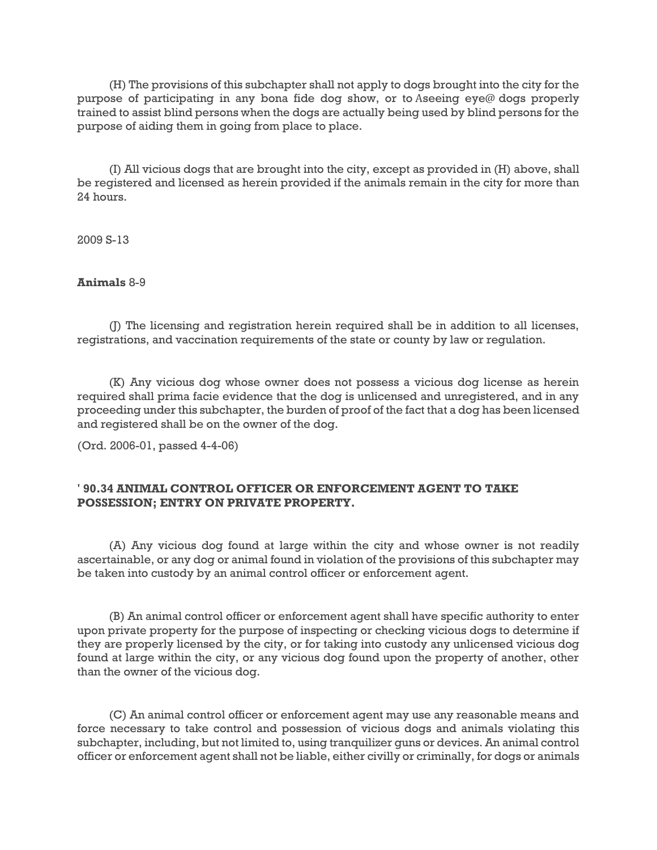(H) The provisions of this subchapter shall not apply to dogs brought into the city for the purpose of participating in any bona fide dog show, or to Aseeing eye@ dogs properly trained to assist blind persons when the dogs are actually being used by blind persons for the purpose of aiding them in going from place to place.

(I) All vicious dogs that are brought into the city, except as provided in (H) above, shall be registered and licensed as herein provided if the animals remain in the city for more than 24 hours.

2009 S-13

## **Animals** 8-9

(J) The licensing and registration herein required shall be in addition to all licenses, registrations, and vaccination requirements of the state or county by law or regulation.

(K) Any vicious dog whose owner does not possess a vicious dog license as herein required shall prima facie evidence that the dog is unlicensed and unregistered, and in any proceeding under this subchapter, the burden of proof of the fact that a dog has been licensed and registered shall be on the owner of the dog.

(Ord. 2006-01, passed 4-4-06)

## **' 90.34 ANIMAL CONTROL OFFICER OR ENFORCEMENT AGENT TO TAKE POSSESSION; ENTRY ON PRIVATE PROPERTY.**

(A) Any vicious dog found at large within the city and whose owner is not readily ascertainable, or any dog or animal found in violation of the provisions of this subchapter may be taken into custody by an animal control officer or enforcement agent.

(B) An animal control officer or enforcement agent shall have specific authority to enter upon private property for the purpose of inspecting or checking vicious dogs to determine if they are properly licensed by the city, or for taking into custody any unlicensed vicious dog found at large within the city, or any vicious dog found upon the property of another, other than the owner of the vicious dog.

(C) An animal control officer or enforcement agent may use any reasonable means and force necessary to take control and possession of vicious dogs and animals violating this subchapter, including, but not limited to, using tranquilizer guns or devices. An animal control officer or enforcement agent shall not be liable, either civilly or criminally, for dogs or animals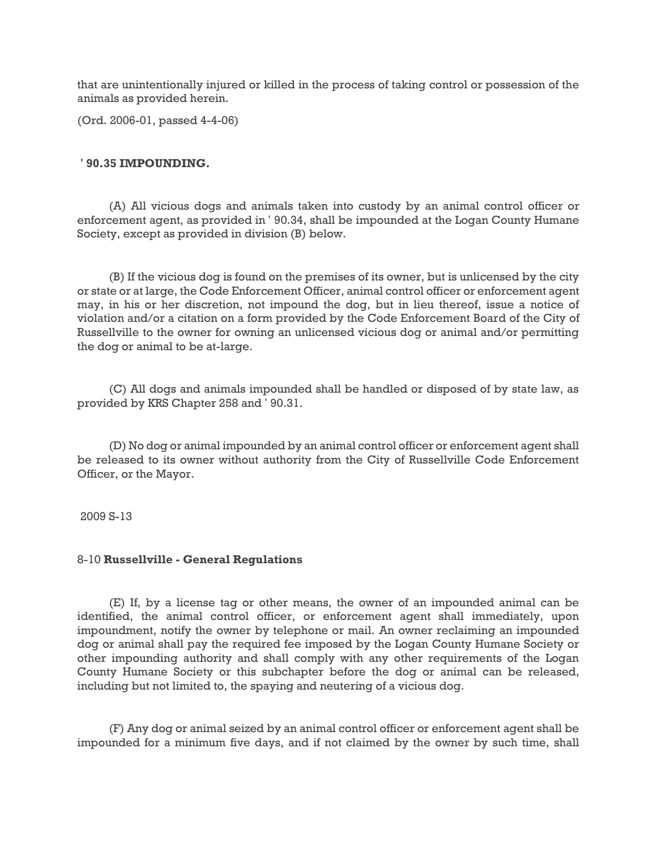that are unintentionally injured or killed in the process of taking control or possession of the animals as provided herein.

(Ord. 2006-01, passed 4-4-06)

#### **' 90.35 IMPOUNDING.**

(A) All vicious dogs and animals taken into custody by an animal control officer or enforcement agent, as provided in ' 90.34, shall be impounded at the Logan County Humane Society, except as provided in division (B) below.

(B) If the vicious dog is found on the premises of its owner, but is unlicensed by the city or state or at large, the Code Enforcement Officer, animal control officer or enforcement agent may, in his or her discretion, not impound the dog, but in lieu thereof, issue a notice of violation and/or a citation on a form provided by the Code Enforcement Board of the City of Russellville to the owner for owning an unlicensed vicious dog or animal and/or permitting the dog or animal to be at-large.

(C) All dogs and animals impounded shall be handled or disposed of by state law, as provided by KRS Chapter 258 and ' 90.31.

(D) No dog or animal impounded by an animal control officer or enforcement agent shall be released to its owner without authority from the City of Russellville Code Enforcement Officer, or the Mayor.

2009 S-13

#### 8-10 **Russellville - General Regulations**

(E) If, by a license tag or other means, the owner of an impounded animal can be identified, the animal control officer, or enforcement agent shall immediately, upon impoundment, notify the owner by telephone or mail. An owner reclaiming an impounded dog or animal shall pay the required fee imposed by the Logan County Humane Society or other impounding authority and shall comply with any other requirements of the Logan County Humane Society or this subchapter before the dog or animal can be released, including but not limited to, the spaying and neutering of a vicious dog.

(F) Any dog or animal seized by an animal control officer or enforcement agent shall be impounded for a minimum five days, and if not claimed by the owner by such time, shall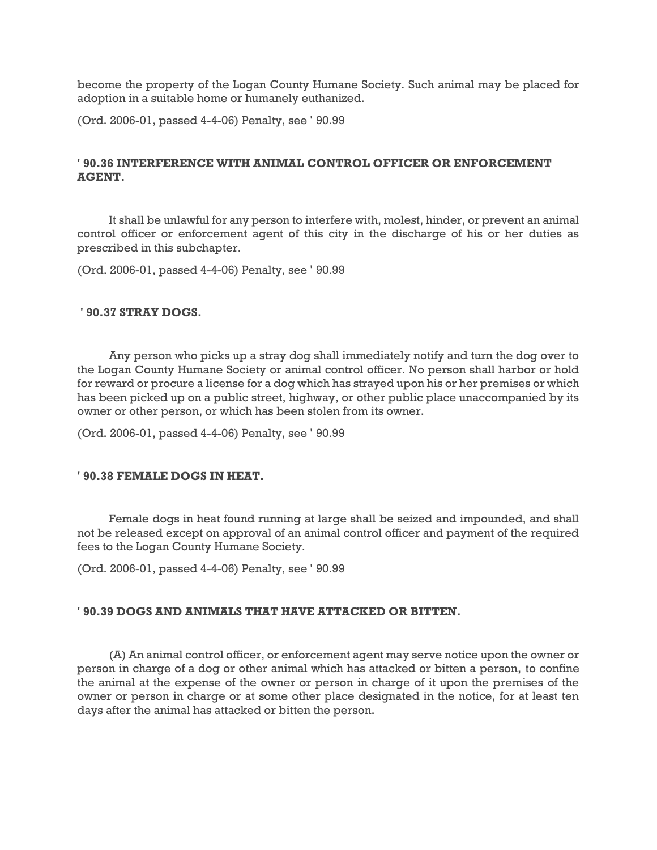become the property of the Logan County Humane Society. Such animal may be placed for adoption in a suitable home or humanely euthanized.

(Ord. 2006-01, passed 4-4-06) Penalty, see ' 90.99

## **' 90.36 INTERFERENCE WITH ANIMAL CONTROL OFFICER OR ENFORCEMENT AGENT.**

It shall be unlawful for any person to interfere with, molest, hinder, or prevent an animal control officer or enforcement agent of this city in the discharge of his or her duties as prescribed in this subchapter.

(Ord. 2006-01, passed 4-4-06) Penalty, see ' 90.99

### **' 90.37 STRAY DOGS.**

Any person who picks up a stray dog shall immediately notify and turn the dog over to the Logan County Humane Society or animal control officer. No person shall harbor or hold for reward or procure a license for a dog which has strayed upon his or her premises or which has been picked up on a public street, highway, or other public place unaccompanied by its owner or other person, or which has been stolen from its owner.

(Ord. 2006-01, passed 4-4-06) Penalty, see ' 90.99

### **' 90.38 FEMALE DOGS IN HEAT.**

Female dogs in heat found running at large shall be seized and impounded, and shall not be released except on approval of an animal control officer and payment of the required fees to the Logan County Humane Society.

(Ord. 2006-01, passed 4-4-06) Penalty, see ' 90.99

### **' 90.39 DOGS AND ANIMALS THAT HAVE ATTACKED OR BITTEN.**

(A) An animal control officer, or enforcement agent may serve notice upon the owner or person in charge of a dog or other animal which has attacked or bitten a person, to confine the animal at the expense of the owner or person in charge of it upon the premises of the owner or person in charge or at some other place designated in the notice, for at least ten days after the animal has attacked or bitten the person.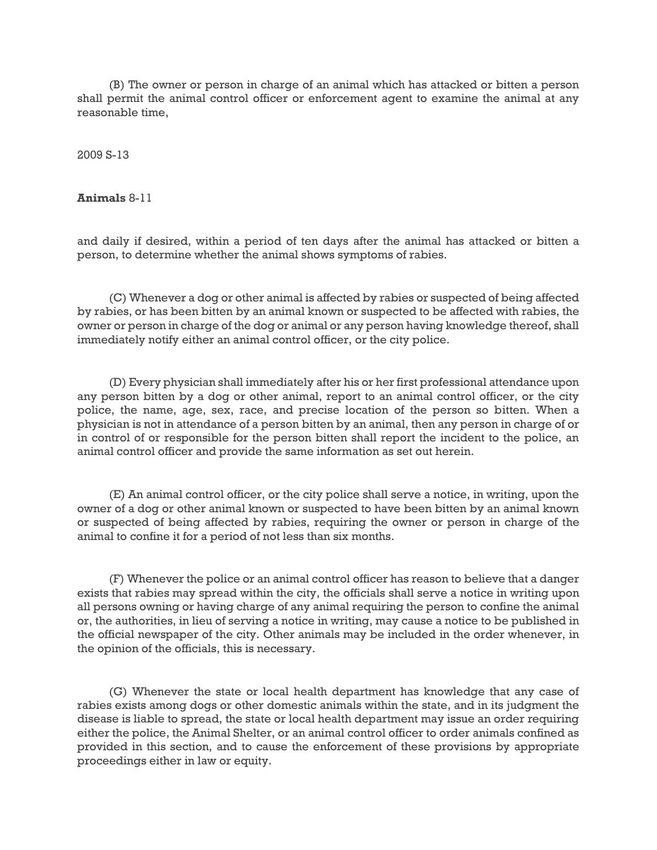(B) The owner or person in charge of an animal which has attacked or bitten a person shall permit the animal control officer or enforcement agent to examine the animal at any reasonable time,

2009 S-13

**Animals** 8-11

and daily if desired, within a period of ten days after the animal has attacked or bitten a person, to determine whether the animal shows symptoms of rabies.

(C) Whenever a dog or other animal is affected by rabies or suspected of being affected by rabies, or has been bitten by an animal known or suspected to be affected with rabies, the owner or person in charge of the dog or animal or any person having knowledge thereof, shall immediately notify either an animal control officer, or the city police.

(D) Every physician shall immediately after his or her first professional attendance upon any person bitten by a dog or other animal, report to an animal control officer, or the city police, the name, age, sex, race, and precise location of the person so bitten. When a physician is not in attendance of a person bitten by an animal, then any person in charge of or in control of or responsible for the person bitten shall report the incident to the police, an animal control officer and provide the same information as set out herein.

(E) An animal control officer, or the city police shall serve a notice, in writing, upon the owner of a dog or other animal known or suspected to have been bitten by an animal known or suspected of being affected by rabies, requiring the owner or person in charge of the animal to confine it for a period of not less than six months.

(F) Whenever the police or an animal control officer has reason to believe that a danger exists that rabies may spread within the city, the officials shall serve a notice in writing upon all persons owning or having charge of any animal requiring the person to confine the animal or, the authorities, in lieu of serving a notice in writing, may cause a notice to be published in the official newspaper of the city. Other animals may be included in the order whenever, in the opinion of the officials, this is necessary.

(G) Whenever the state or local health department has knowledge that any case of rabies exists among dogs or other domestic animals within the state, and in its judgment the disease is liable to spread, the state or local health department may issue an order requiring either the police, the Animal Shelter, or an animal control officer to order animals confined as provided in this section, and to cause the enforcement of these provisions by appropriate proceedings either in law or equity.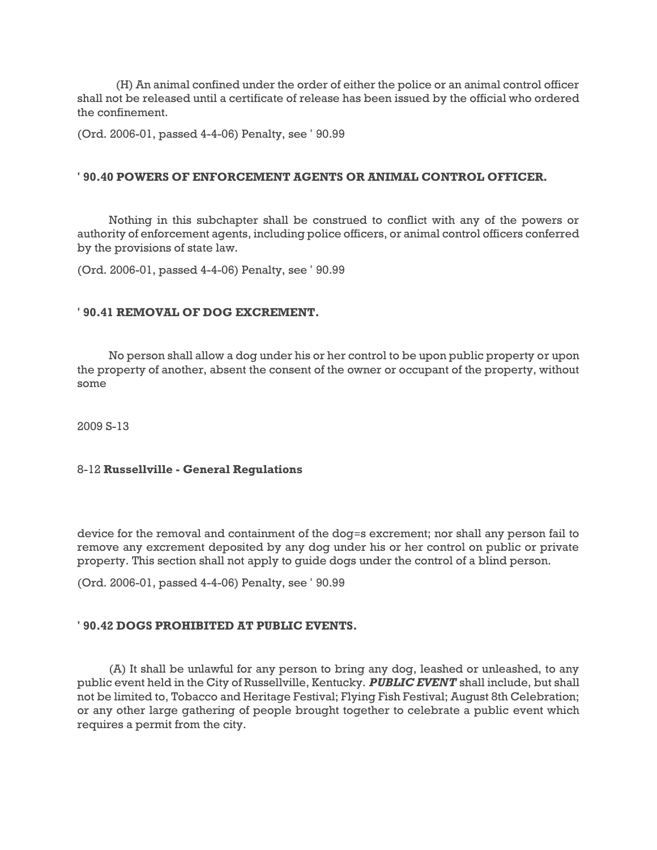(H) An animal confined under the order of either the police or an animal control officer shall not be released until a certificate of release has been issued by the official who ordered the confinement.

(Ord. 2006-01, passed 4-4-06) Penalty, see ' 90.99

### **' 90.40 POWERS OF ENFORCEMENT AGENTS OR ANIMAL CONTROL OFFICER.**

Nothing in this subchapter shall be construed to conflict with any of the powers or authority of enforcement agents, including police officers, or animal control officers conferred by the provisions of state law.

(Ord. 2006-01, passed 4-4-06) Penalty, see ' 90.99

### **' 90.41 REMOVAL OF DOG EXCREMENT.**

No person shall allow a dog under his or her control to be upon public property or upon the property of another, absent the consent of the owner or occupant of the property, without some

2009 S-13

### 8-12 **Russellville - General Regulations**

device for the removal and containment of the dog=s excrement; nor shall any person fail to remove any excrement deposited by any dog under his or her control on public or private property. This section shall not apply to guide dogs under the control of a blind person.

(Ord. 2006-01, passed 4-4-06) Penalty, see ' 90.99

## **' 90.42 DOGS PROHIBITED AT PUBLIC EVENTS.**

(A) It shall be unlawful for any person to bring any dog, leashed or unleashed, to any public event held in the City of Russellville, Kentucky. *PUBLIC EVENT* shall include, but shall not be limited to, Tobacco and Heritage Festival; Flying Fish Festival; August 8th Celebration; or any other large gathering of people brought together to celebrate a public event which requires a permit from the city.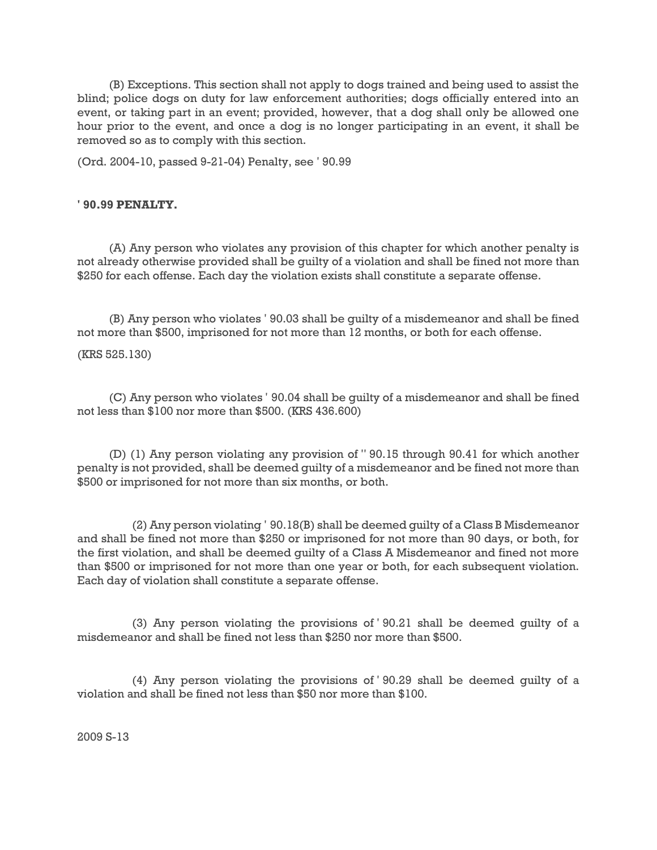(B) Exceptions. This section shall not apply to dogs trained and being used to assist the blind; police dogs on duty for law enforcement authorities; dogs officially entered into an event, or taking part in an event; provided, however, that a dog shall only be allowed one hour prior to the event, and once a dog is no longer participating in an event, it shall be removed so as to comply with this section.

(Ord. 2004-10, passed 9-21-04) Penalty, see ' 90.99

### **' 90.99 PENALTY.**

(A) Any person who violates any provision of this chapter for which another penalty is not already otherwise provided shall be guilty of a violation and shall be fined not more than \$250 for each offense. Each day the violation exists shall constitute a separate offense.

(B) Any person who violates ' 90.03 shall be guilty of a misdemeanor and shall be fined not more than \$500, imprisoned for not more than 12 months, or both for each offense.

(KRS 525.130)

(C) Any person who violates ' 90.04 shall be guilty of a misdemeanor and shall be fined not less than \$100 nor more than \$500. (KRS 436.600)

(D) (1) Any person violating any provision of '' 90.15 through 90.41 for which another penalty is not provided, shall be deemed guilty of a misdemeanor and be fined not more than \$500 or imprisoned for not more than six months, or both.

(2) Any person violating ' 90.18(B) shall be deemed guilty of a Class B Misdemeanor and shall be fined not more than \$250 or imprisoned for not more than 90 days, or both, for the first violation, and shall be deemed guilty of a Class A Misdemeanor and fined not more than \$500 or imprisoned for not more than one year or both, for each subsequent violation. Each day of violation shall constitute a separate offense.

(3) Any person violating the provisions of ' 90.21 shall be deemed guilty of a misdemeanor and shall be fined not less than \$250 nor more than \$500.

(4) Any person violating the provisions of ' 90.29 shall be deemed guilty of a violation and shall be fined not less than \$50 nor more than \$100.

2009 S-13